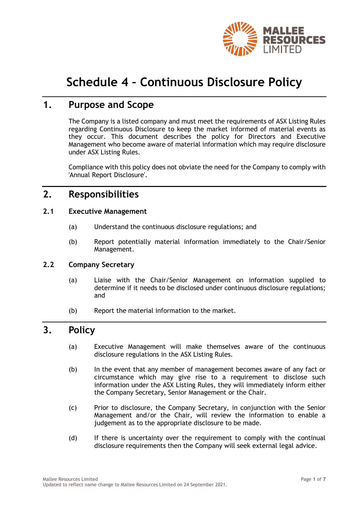

# **Schedule 4 – Continuous Disclosure Policy**

## **1. Purpose and Scope**

The Company is a listed company and must meet the requirements of ASX Listing Rules regarding Continuous Disclosure to keep the market informed of material events as they occur. This document describes the policy for Directors and Executive Management who become aware of material information which may require disclosure under ASX Listing Rules.

Compliance with this policy does not obviate the need for the Company to comply with 'Annual Report Disclosure'.

# **2. Responsibilities**

#### **2.1 Executive Management**

- (a) Understand the continuous disclosure regulations; and
- (b) Report potentially material information immediately to the Chair/Senior Management.

## **2.2 Company Secretary**

- (a) Liaise with the Chair/Senior Management on information supplied to determine if it needs to be disclosed under continuous disclosure regulations; and
- (b) Report the material information to the market.

# **3. Policy**

- (a) Executive Management will make themselves aware of the continuous disclosure regulations in the ASX Listing Rules.
- (b) In the event that any member of management becomes aware of any fact or circumstance which may give rise to a requirement to disclose such information under the ASX Listing Rules, they will immediately inform either the Company Secretary, Senior Management or the Chair.
- (c) Prior to disclosure, the Company Secretary, in conjunction with the Senior Management and/or the Chair, will review the information to enable a judgement as to the appropriate disclosure to be made.
- (d) If there is uncertainty over the requirement to comply with the continual disclosure requirements then the Company will seek external legal advice.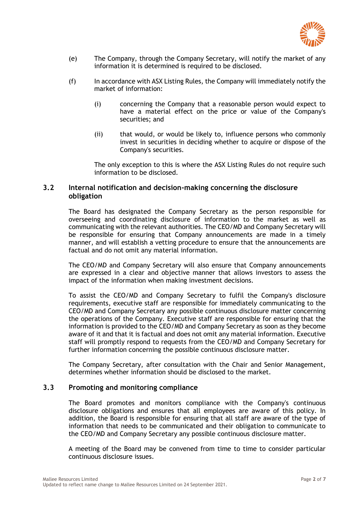

- (e) The Company, through the Company Secretary, will notify the market of any information it is determined is required to be disclosed.
- (f) In accordance with ASX Listing Rules, the Company will immediately notify the market of information:
	- (i) concerning the Company that a reasonable person would expect to have a material effect on the price or value of the Company's securities; and
	- (ii) that would, or would be likely to, influence persons who commonly invest in securities in deciding whether to acquire or dispose of the Company's securities.

The only exception to this is where the ASX Listing Rules do not require such information to be disclosed.

#### **3.2 Internal notification and decision-making concerning the disclosure obligation**

The Board has designated the Company Secretary as the person responsible for overseeing and coordinating disclosure of information to the market as well as communicating with the relevant authorities. The CEO/MD and Company Secretary will be responsible for ensuring that Company announcements are made in a timely manner, and will establish a vetting procedure to ensure that the announcements are factual and do not omit any material information.

The CEO/MD and Company Secretary will also ensure that Company announcements are expressed in a clear and objective manner that allows investors to assess the impact of the information when making investment decisions.

To assist the CEO/MD and Company Secretary to fulfil the Company's disclosure requirements, executive staff are responsible for immediately communicating to the CEO/MD and Company Secretary any possible continuous disclosure matter concerning the operations of the Company. Executive staff are responsible for ensuring that the information is provided to the CEO/MD and Company Secretary as soon as they become aware of it and that it is factual and does not omit any material information. Executive staff will promptly respond to requests from the CEO/MD and Company Secretary for further information concerning the possible continuous disclosure matter.

The Company Secretary, after consultation with the Chair and Senior Management, determines whether information should be disclosed to the market.

#### **3.3 Promoting and monitoring compliance**

The Board promotes and monitors compliance with the Company's continuous disclosure obligations and ensures that all employees are aware of this policy. In addition, the Board is responsible for ensuring that all staff are aware of the type of information that needs to be communicated and their obligation to communicate to the CEO/MD and Company Secretary any possible continuous disclosure matter.

A meeting of the Board may be convened from time to time to consider particular continuous disclosure issues.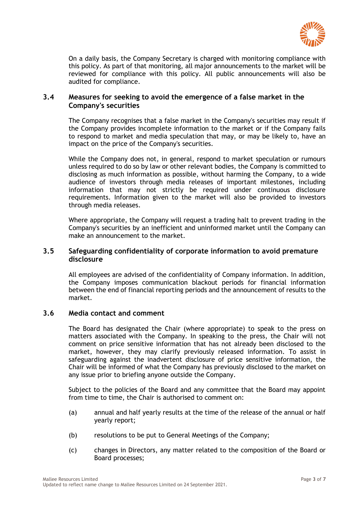

On a daily basis, the Company Secretary is charged with monitoring compliance with this policy. As part of that monitoring, all major announcements to the market will be reviewed for compliance with this policy. All public announcements will also be audited for compliance.

#### **3.4 Measures for seeking to avoid the emergence of a false market in the Company's securities**

The Company recognises that a false market in the Company's securities may result if the Company provides incomplete information to the market or if the Company fails to respond to market and media speculation that may, or may be likely to, have an impact on the price of the Company's securities.

While the Company does not, in general, respond to market speculation or rumours unless required to do so by law or other relevant bodies, the Company is committed to disclosing as much information as possible, without harming the Company, to a wide audience of investors through media releases of important milestones, including information that may not strictly be required under continuous disclosure requirements. Information given to the market will also be provided to investors through media releases.

Where appropriate, the Company will request a trading halt to prevent trading in the Company's securities by an inefficient and uninformed market until the Company can make an announcement to the market.

#### **3.5 Safeguarding confidentiality of corporate information to avoid premature disclosure**

All employees are advised of the confidentiality of Company information. In addition, the Company imposes communication blackout periods for financial information between the end of financial reporting periods and the announcement of results to the market.

### **3.6 Media contact and comment**

The Board has designated the Chair (where appropriate) to speak to the press on matters associated with the Company. In speaking to the press, the Chair will not comment on price sensitive information that has not already been disclosed to the market, however, they may clarify previously released information. To assist in safeguarding against the inadvertent disclosure of price sensitive information, the Chair will be informed of what the Company has previously disclosed to the market on any issue prior to briefing anyone outside the Company.

Subject to the policies of the Board and any committee that the Board may appoint from time to time, the Chair is authorised to comment on:

- (a) annual and half yearly results at the time of the release of the annual or half yearly report;
- (b) resolutions to be put to General Meetings of the Company;
- (c) changes in Directors, any matter related to the composition of the Board or Board processes;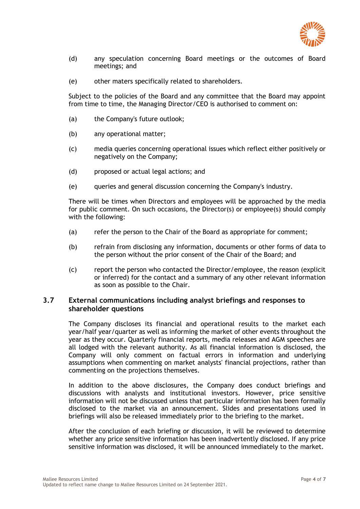

- (d) any speculation concerning Board meetings or the outcomes of Board meetings; and
- (e) other maters specifically related to shareholders.

Subject to the policies of the Board and any committee that the Board may appoint from time to time, the Managing Director/CEO is authorised to comment on:

- (a) the Company's future outlook;
- (b) any operational matter;
- (c) media queries concerning operational issues which reflect either positively or negatively on the Company;
- (d) proposed or actual legal actions; and
- (e) queries and general discussion concerning the Company's industry.

There will be times when Directors and employees will be approached by the media for public comment. On such occasions, the Director(s) or employee(s) should comply with the following:

- (a) refer the person to the Chair of the Board as appropriate for comment;
- (b) refrain from disclosing any information, documents or other forms of data to the person without the prior consent of the Chair of the Board; and
- (c) report the person who contacted the Director/employee, the reason (explicit or inferred) for the contact and a summary of any other relevant information as soon as possible to the Chair.

#### **3.7 External communications including analyst briefings and responses to shareholder questions**

The Company discloses its financial and operational results to the market each year/half year/quarter as well as informing the market of other events throughout the year as they occur. Quarterly financial reports, media releases and AGM speeches are all lodged with the relevant authority. As all financial information is disclosed, the Company will only comment on factual errors in information and underlying assumptions when commenting on market analysts' financial projections, rather than commenting on the projections themselves.

In addition to the above disclosures, the Company does conduct briefings and discussions with analysts and institutional investors. However, price sensitive information will not be discussed unless that particular information has been formally disclosed to the market via an announcement. Slides and presentations used in briefings will also be released immediately prior to the briefing to the market.

After the conclusion of each briefing or discussion, it will be reviewed to determine whether any price sensitive information has been inadvertently disclosed. If any price sensitive information was disclosed, it will be announced immediately to the market.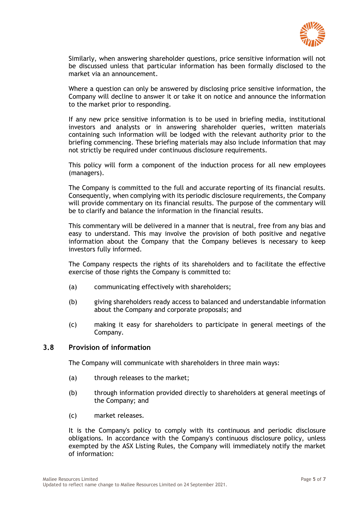

Similarly, when answering shareholder questions, price sensitive information will not be discussed unless that particular information has been formally disclosed to the market via an announcement.

Where a question can only be answered by disclosing price sensitive information, the Company will decline to answer it or take it on notice and announce the information to the market prior to responding.

If any new price sensitive information is to be used in briefing media, institutional investors and analysts or in answering shareholder queries, written materials containing such information will be lodged with the relevant authority prior to the briefing commencing. These briefing materials may also include information that may not strictly be required under continuous disclosure requirements.

This policy will form a component of the induction process for all new employees (managers).

The Company is committed to the full and accurate reporting of its financial results. Consequently, when complying with its periodic disclosure requirements, the Company will provide commentary on its financial results. The purpose of the commentary will be to clarify and balance the information in the financial results.

This commentary will be delivered in a manner that is neutral, free from any bias and easy to understand. This may involve the provision of both positive and negative information about the Company that the Company believes is necessary to keep investors fully informed.

The Company respects the rights of its shareholders and to facilitate the effective exercise of those rights the Company is committed to:

- (a) communicating effectively with shareholders;
- (b) giving shareholders ready access to balanced and understandable information about the Company and corporate proposals; and
- (c) making it easy for shareholders to participate in general meetings of the Company.

#### **3.8 Provision of information**

The Company will communicate with shareholders in three main ways:

- (a) through releases to the market;
- (b) through information provided directly to shareholders at general meetings of the Company; and
- (c) market releases.

It is the Company's policy to comply with its continuous and periodic disclosure obligations. In accordance with the Company's continuous disclosure policy, unless exempted by the ASX Listing Rules, the Company will immediately notify the market of information: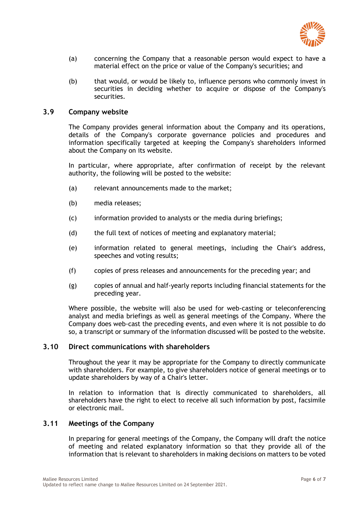

- (a) concerning the Company that a reasonable person would expect to have a material effect on the price or value of the Company's securities; and
- (b) that would, or would be likely to, influence persons who commonly invest in securities in deciding whether to acquire or dispose of the Company's securities.

#### **3.9 Company website**

The Company provides general information about the Company and its operations, details of the Company's corporate governance policies and procedures and information specifically targeted at keeping the Company's shareholders informed about the Company on its website.

In particular, where appropriate, after confirmation of receipt by the relevant authority, the following will be posted to the website:

- (a) relevant announcements made to the market;
- (b) media releases;
- (c) information provided to analysts or the media during briefings;
- (d) the full text of notices of meeting and explanatory material;
- (e) information related to general meetings, including the Chair's address, speeches and voting results;
- (f) copies of press releases and announcements for the preceding year; and
- (g) copies of annual and half-yearly reports including financial statements for the preceding year.

Where possible, the website will also be used for web-casting or teleconferencing analyst and media briefings as well as general meetings of the Company. Where the Company does web-cast the preceding events, and even where it is not possible to do so, a transcript or summary of the information discussed will be posted to the website.

#### **3.10 Direct communications with shareholders**

Throughout the year it may be appropriate for the Company to directly communicate with shareholders. For example, to give shareholders notice of general meetings or to update shareholders by way of a Chair's letter.

In relation to information that is directly communicated to shareholders, all shareholders have the right to elect to receive all such information by post, facsimile or electronic mail.

#### **3.11 Meetings of the Company**

In preparing for general meetings of the Company, the Company will draft the notice of meeting and related explanatory information so that they provide all of the information that is relevant to shareholders in making decisions on matters to be voted